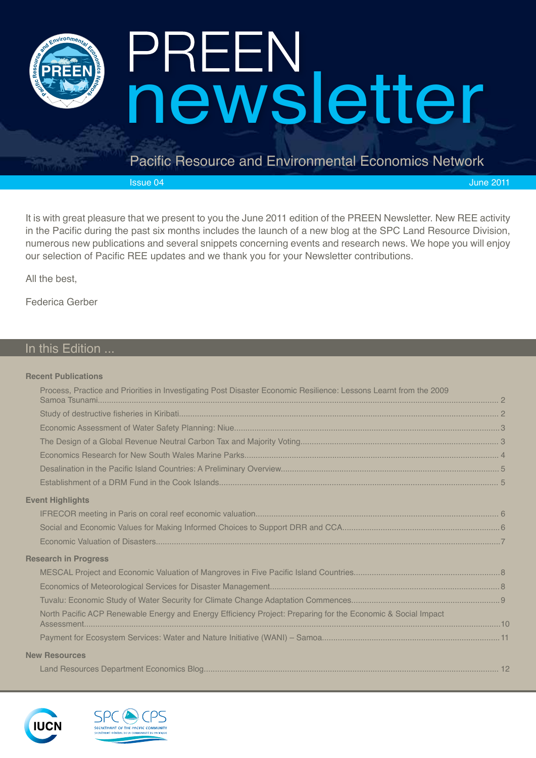

# newsletter

#### Pacific Resource and Environmental Economics Network

Issue 04 June 2011

It is with great pleasure that we present to you the June 2011 edition of the PREEN Newsletter. New REE activity in the Pacific during the past six months includes the launch of a new blog at the SPC Land Resource Division, numerous new publications and several snippets concerning events and research news. We hope you will enjoy our selection of Pacific REE updates and we thank you for your Newsletter contributions.

All the best,

Federica Gerber

#### In this Edition ...

#### **Recent Publications**

| Process, Practice and Priorities in Investigating Post Disaster Economic Resilience: Lessons Learnt from the 2009 |  |
|-------------------------------------------------------------------------------------------------------------------|--|
|                                                                                                                   |  |
|                                                                                                                   |  |
|                                                                                                                   |  |
|                                                                                                                   |  |
|                                                                                                                   |  |
|                                                                                                                   |  |
| <b>Event Highlights</b>                                                                                           |  |
|                                                                                                                   |  |
|                                                                                                                   |  |
|                                                                                                                   |  |
| <b>Research in Progress</b>                                                                                       |  |
|                                                                                                                   |  |
|                                                                                                                   |  |
|                                                                                                                   |  |
| North Pacific ACP Renewable Energy and Energy Efficiency Project: Preparing for the Economic & Social Impact      |  |
|                                                                                                                   |  |
| <b>New Resources</b>                                                                                              |  |
|                                                                                                                   |  |



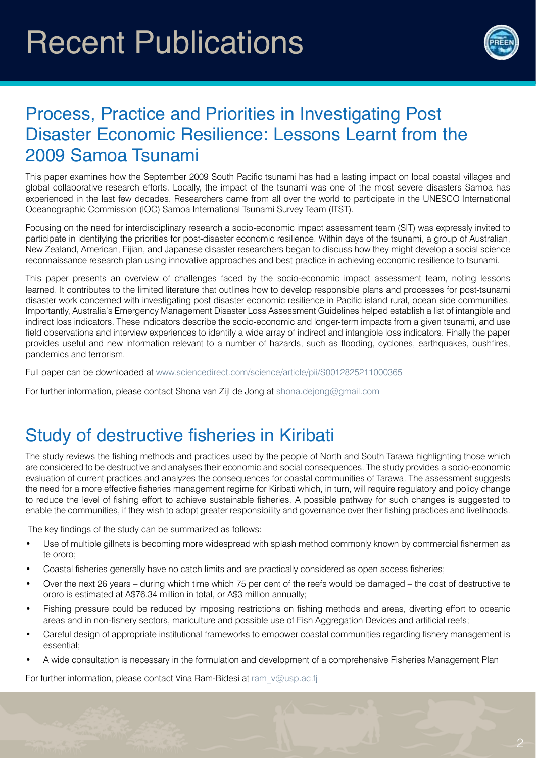# Recent Publications



#### Process, Practice and Priorities in Investigating Post Disaster Economic Resilience: Lessons Learnt from the 2009 Samoa Tsunami

This paper examines how the September 2009 South Pacific tsunami has had a lasting impact on local coastal villages and global collaborative research efforts. Locally, the impact of the tsunami was one of the most severe disasters Samoa has experienced in the last few decades. Researchers came from all over the world to participate in the UNESCO International Oceanographic Commission (IOC) Samoa International Tsunami Survey Team (ITST).

Focusing on the need for interdisciplinary research a socio-economic impact assessment team (SIT) was expressly invited to participate in identifying the priorities for post-disaster economic resilience. Within days of the tsunami, a group of Australian, New Zealand, American, Fijian, and Japanese disaster researchers began to discuss how they might develop a social science reconnaissance research plan using innovative approaches and best practice in achieving economic resilience to tsunami.

This paper presents an overview of challenges faced by the socio-economic impact assessment team, noting lessons learned. It contributes to the limited literature that outlines how to develop responsible plans and processes for post-tsunami disaster work concerned with investigating post disaster economic resilience in Pacific island rural, ocean side communities. Importantly, Australia's Emergency Management Disaster Loss Assessment Guidelines helped establish a list of intangible and indirect loss indicators. These indicators describe the socio-economic and longer-term impacts from a given tsunami, and use field observations and interview experiences to identify a wide array of indirect and intangible loss indicators. Finally the paper provides useful and new information relevant to a number of hazards, such as flooding, cyclones, earthquakes, bushfires, pandemics and terrorism.

Full paper can be downloaded at www.sciencedirect.com/science/article/pii/S0012825211000365

For further information, please contact Shona van Zijl de Jong at shona.dejong@gmail.com

#### Study of destructive fisheries in Kiribati

The study reviews the fishing methods and practices used by the people of North and South Tarawa highlighting those which are considered to be destructive and analyses their economic and social consequences. The study provides a socio-economic evaluation of current practices and analyzes the consequences for coastal communities of Tarawa. The assessment suggests the need for a more effective fisheries management regime for Kiribati which, in turn, will require regulatory and policy change to reduce the level of fishing effort to achieve sustainable fisheries. A possible pathway for such changes is suggested to enable the communities, if they wish to adopt greater responsibility and governance over their fishing practices and livelihoods.

The key findings of the study can be summarized as follows:

- Use of multiple gillnets is becoming more widespread with splash method commonly known by commercial fishermen as te ororo;
- Coastal fisheries generally have no catch limits and are practically considered as open access fisheries;
- Over the next 26 years during which time which 75 per cent of the reefs would be damaged the cost of destructive te ororo is estimated at A\$76.34 million in total, or A\$3 million annually;
- Fishing pressure could be reduced by imposing restrictions on fishing methods and areas, diverting effort to oceanic areas and in non-fishery sectors, mariculture and possible use of Fish Aggregation Devices and artificial reefs;
- Careful design of appropriate institutional frameworks to empower coastal communities regarding fishery management is essential;
- A wide consultation is necessary in the formulation and development of a comprehensive Fisheries Management Plan

For further information, please contact Vina Ram-Bidesi at ram v@usp.ac.fi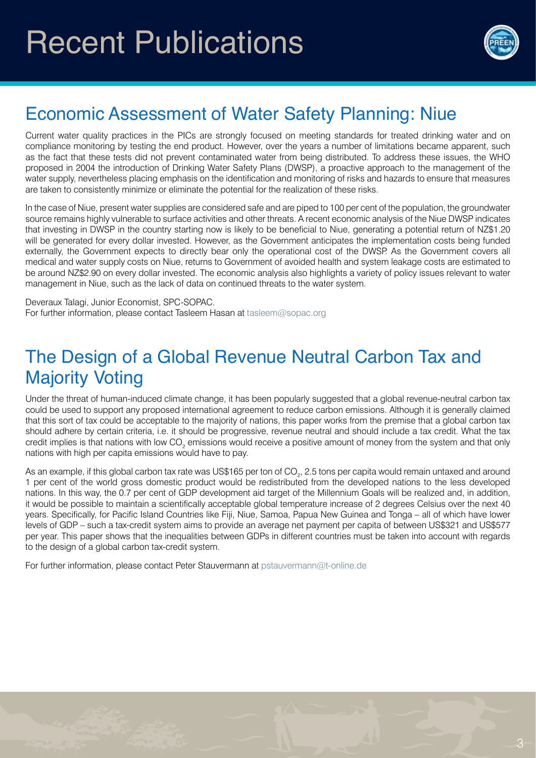

## Economic Assessment of Water Safety Planning: Niue

Current water quality practices in the PICs are strongly focused on meeting standards for treated drinking water and on compliance monitoring by testing the end product. However, over the years a number of limitations became apparent, such as the fact that these tests did not prevent contaminated water from being distributed. To address these issues, the WHO proposed in 2004 the introduction of Drinking Water Safety Plans (DWSP), a proactive approach to the management of the water supply, nevertheless placing emphasis on the identification and monitoring of risks and hazards to ensure that measures are taken to consistently minimize or eliminate the potential for the realization of these risks.

In the case of Niue, present water supplies are considered safe and are piped to 100 per cent of the population, the groundwater source remains highly vulnerable to surface activities and other threats. A recent economic analysis of the Niue DWSP indicates that investing in DWSP in the country starting now is likely to be beneficial to Niue, generating a potential return of NZ\$1.20 will be generated for every dollar invested. However, as the Government anticipates the implementation costs being funded externally, the Government expects to directly bear only the operational cost of the DWSP. As the Government covers all medical and water supply costs on Niue, returns to Government of avoided health and system leakage costs are estimated to be around NZ\$2.90 on every dollar invested. The economic analysis also highlights a variety of policy issues relevant to water management in Niue, such as the lack of data on continued threats to the water system.

Deveraux Talagi, Junior Economist, SPC-SOPAC. For further information, please contact Tasleem Hasan at tasleem@sopac.org

#### The Design of a Global Revenue Neutral Carbon Tax and Majority Voting

Under the threat of human-induced climate change, it has been popularly suggested that a global revenue-neutral carbon tax could be used to support any proposed international agreement to reduce carbon emissions. Although it is generally claimed that this sort of tax could be acceptable to the majority of nations, this paper works from the premise that a global carbon tax should adhere by certain criteria, i.e. it should be progressive, revenue neutral and should include a tax credit. What the tax credit implies is that nations with low CO<sub>2</sub> emissions would receive a positive amount of money from the system and that only nations with high per capita emissions would have to pay.

As an example, if this global carbon tax rate was US\$165 per ton of CO $_{_2}$ , 2.5 tons per capita would remain untaxed and around 1 per cent of the world gross domestic product would be redistributed from the developed nations to the less developed nations. In this way, the 0.7 per cent of GDP development aid target of the Millennium Goals will be realized and, in addition, it would be possible to maintain a scientifically acceptable global temperature increase of 2 degrees Celsius over the next 40 years. Specifically, for Pacific Island Countries like Fiji, Niue, Samoa, Papua New Guinea and Tonga – all of which have lower levels of GDP – such a tax-credit system aims to provide an average net payment per capita of between US\$321 and US\$577 per year. This paper shows that the inequalities between GDPs in different countries must be taken into account with regards to the design of a global carbon tax-credit system.

For further information, please contact Peter Stauvermann at pstauvermann@t-online.de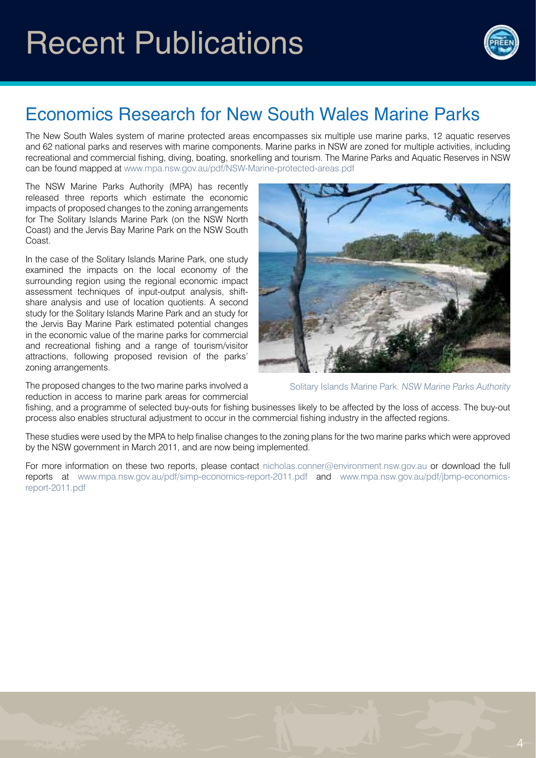

## Economics Research for New South Wales Marine Parks

The New South Wales system of marine protected areas encompasses six multiple use marine parks, 12 aquatic reserves and 62 national parks and reserves with marine components. Marine parks in NSW are zoned for multiple activities, including recreational and commercial fishing, diving, boating, snorkelling and tourism. The Marine Parks and Aquatic Reserves in NSW can be found mapped at www.mpa.nsw.gov.au/pdf/NSW-Marine-protected-areas.pdf

The NSW Marine Parks Authority (MPA) has recently released three reports which estimate the economic impacts of proposed changes to the zoning arrangements for The Solitary Islands Marine Park (on the NSW North Coast) and the Jervis Bay Marine Park on the NSW South Coast.

In the case of the Solitary Islands Marine Park, one study examined the impacts on the local economy of the surrounding region using the regional economic impact assessment techniques of input-output analysis, shiftshare analysis and use of location quotients. A second study for the Solitary Islands Marine Park and an study for the Jervis Bay Marine Park estimated potential changes in the economic value of the marine parks for commercial and recreational fishing and a range of tourism/visitor attractions, following proposed revision of the parks' zoning arrangements.

The proposed changes to the two marine parks involved a reduction in access to marine park areas for commercial



Solitary Islands Marine Park. NSW Marine Parks Authority

fishing, and a programme of selected buy-outs for fishing businesses likely to be affected by the loss of access. The buy-out process also enables structural adjustment to occur in the commercial fishing industry in the affected regions.

These studies were used by the MPA to help finalise changes to the zoning plans for the two marine parks which were approved by the NSW government in March 2011, and are now being implemented.

For more information on these two reports, please contact nicholas.conner@environment.nsw.gov.au or download the full reports at www.mpa.nsw.gov.au/pdf/simp-economics-report-2011.pdf and www.mpa.nsw.gov.au/pdf/jbmp-economicsreport-2011.pdf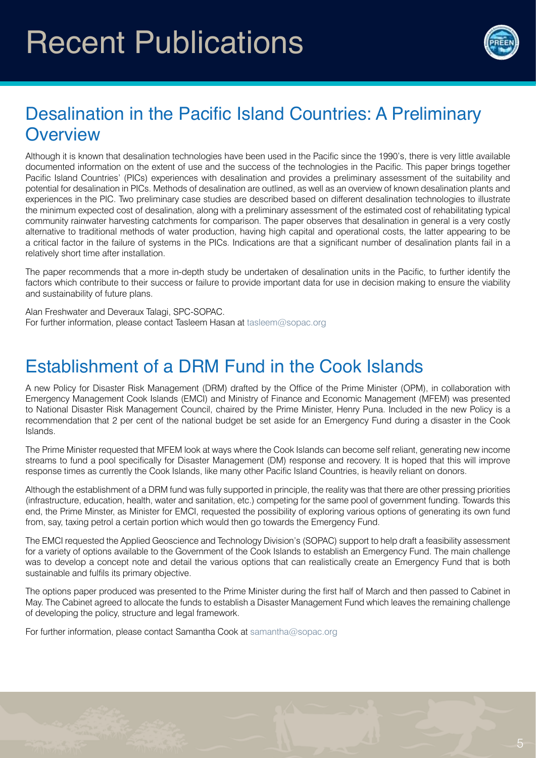# Recent Publications



#### Desalination in the Pacific Island Countries: A Preliminary **Overview**

Although it is known that desalination technologies have been used in the Pacific since the 1990's, there is very little available documented information on the extent of use and the success of the technologies in the Pacific. This paper brings together Pacific Island Countries' (PICs) experiences with desalination and provides a preliminary assessment of the suitability and potential for desalination in PICs. Methods of desalination are outlined, as well as an overview of known desalination plants and experiences in the PIC. Two preliminary case studies are described based on different desalination technologies to illustrate the minimum expected cost of desalination, along with a preliminary assessment of the estimated cost of rehabilitating typical community rainwater harvesting catchments for comparison. The paper observes that desalination in general is a very costly alternative to traditional methods of water production, having high capital and operational costs, the latter appearing to be a critical factor in the failure of systems in the PICs. Indications are that a significant number of desalination plants fail in a relatively short time after installation.

The paper recommends that a more in-depth study be undertaken of desalination units in the Pacific, to further identify the factors which contribute to their success or failure to provide important data for use in decision making to ensure the viability and sustainability of future plans.

Alan Freshwater and Deveraux Talagi, SPC-SOPAC. For further information, please contact Tasleem Hasan at tasleem@sopac.org

#### Establishment of a DRM Fund in the Cook Islands

A new Policy for Disaster Risk Management (DRM) drafted by the Office of the Prime Minister (OPM), in collaboration with Emergency Management Cook Islands (EMCI) and Ministry of Finance and Economic Management (MFEM) was presented to National Disaster Risk Management Council, chaired by the Prime Minister, Henry Puna. Included in the new Policy is a recommendation that 2 per cent of the national budget be set aside for an Emergency Fund during a disaster in the Cook Islands.

The Prime Minister requested that MFEM look at ways where the Cook Islands can become self reliant, generating new income streams to fund a pool specifically for Disaster Management (DM) response and recovery. It is hoped that this will improve response times as currently the Cook Islands, like many other Pacific Island Countries, is heavily reliant on donors.

Although the establishment of a DRM fund was fully supported in principle, the reality was that there are other pressing priorities (infrastructure, education, health, water and sanitation, etc.) competing for the same pool of government funding. Towards this end, the Prime Minster, as Minister for EMCI, requested the possibility of exploring various options of generating its own fund from, say, taxing petrol a certain portion which would then go towards the Emergency Fund.

The EMCI requested the Applied Geoscience and Technology Division's (SOPAC) support to help draft a feasibility assessment for a variety of options available to the Government of the Cook Islands to establish an Emergency Fund. The main challenge was to develop a concept note and detail the various options that can realistically create an Emergency Fund that is both sustainable and fulfils its primary objective.

The options paper produced was presented to the Prime Minister during the first half of March and then passed to Cabinet in May. The Cabinet agreed to allocate the funds to establish a Disaster Management Fund which leaves the remaining challenge of developing the policy, structure and legal framework.

For further information, please contact Samantha Cook at samantha@sopac.org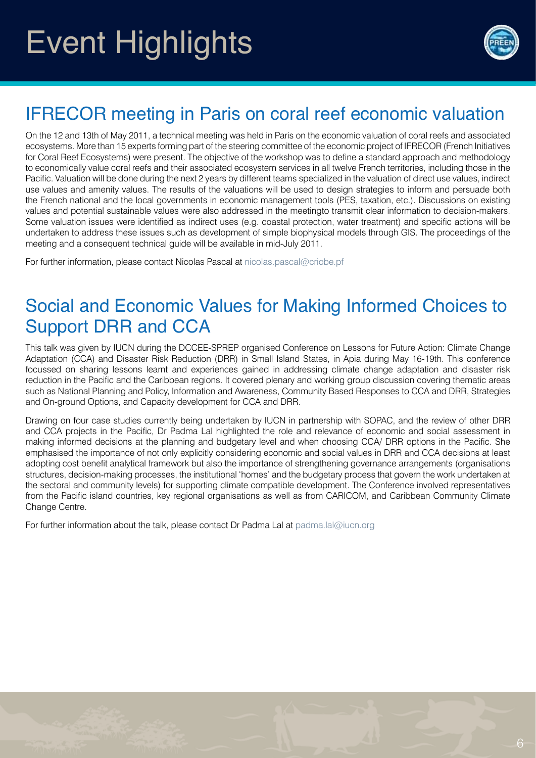# Event Highlights



## IFRECOR meeting in Paris on coral reef economic valuation

On the 12 and 13th of May 2011, a technical meeting was held in Paris on the economic valuation of coral reefs and associated ecosystems. More than 15 experts forming part of the steering committee of the economic project of IFRECOR (French Initiatives for Coral Reef Ecosystems) were present. The objective of the workshop was to define a standard approach and methodology to economically value coral reefs and their associated ecosystem services in all twelve French territories, including those in the Pacific. Valuation will be done during the next 2 years by different teams specialized in the valuation of direct use values, indirect use values and amenity values. The results of the valuations will be used to design strategies to inform and persuade both the French national and the local governments in economic management tools (PES, taxation, etc.). Discussions on existing values and potential sustainable values were also addressed in the meetingto transmit clear information to decision-makers. Some valuation issues were identified as indirect uses (e.g. coastal protection, water treatment) and specific actions will be undertaken to address these issues such as development of simple biophysical models through GIS. The proceedings of the meeting and a consequent technical guide will be available in mid-July 2011.

For further information, please contact Nicolas Pascal at nicolas.pascal@criobe.pf

#### Social and Economic Values for Making Informed Choices to Support DRR and CCA

This talk was given by IUCN during the DCCEE-SPREP organised Conference on Lessons for Future Action: Climate Change Adaptation (CCA) and Disaster Risk Reduction (DRR) in Small Island States, in Apia during May 16-19th. This conference focussed on sharing lessons learnt and experiences gained in addressing climate change adaptation and disaster risk reduction in the Pacific and the Caribbean regions. It covered plenary and working group discussion covering thematic areas such as National Planning and Policy, Information and Awareness, Community Based Responses to CCA and DRR, Strategies and On-ground Options, and Capacity development for CCA and DRR.

Drawing on four case studies currently being undertaken by IUCN in partnership with SOPAC, and the review of other DRR and CCA projects in the Pacific, Dr Padma Lal highlighted the role and relevance of economic and social assessment in making informed decisions at the planning and budgetary level and when choosing CCA/ DRR options in the Pacific. She emphasised the importance of not only explicitly considering economic and social values in DRR and CCA decisions at least adopting cost benefit analytical framework but also the importance of strengthening governance arrangements (organisations structures, decision-making processes, the institutional 'homes' and the budgetary process that govern the work undertaken at the sectoral and community levels) for supporting climate compatible development. The Conference involved representatives from the Pacific island countries, key regional organisations as well as from CARICOM, and Caribbean Community Climate Change Centre.

For further information about the talk, please contact Dr Padma Lal at padma.lal@iucn.org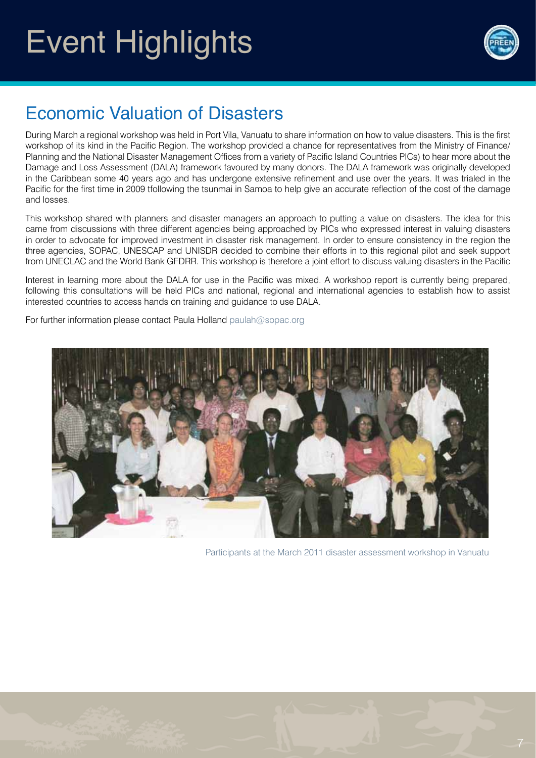# Event Highlights



## Economic Valuation of Disasters

During March a regional workshop was held in Port Vila, Vanuatu to share information on how to value disasters. This is the first workshop of its kind in the Pacific Region. The workshop provided a chance for representatives from the Ministry of Finance/ Planning and the National Disaster Management Offices from a variety of Pacific Island Countries PICs) to hear more about the Damage and Loss Assessment (DALA) framework favoured by many donors. The DALA framework was originally developed in the Caribbean some 40 years ago and has undergone extensive refinement and use over the years. It was trialed in the Pacific for the first time in 2009 tfollowing the tsunmai in Samoa to help give an accurate reflection of the cost of the damage and losses.

This workshop shared with planners and disaster managers an approach to putting a value on disasters. The idea for this came from discussions with three different agencies being approached by PICs who expressed interest in valuing disasters in order to advocate for improved investment in disaster risk management. In order to ensure consistency in the region the three agencies, SOPAC, UNESCAP and UNISDR decided to combine their efforts in to this regional pilot and seek support from UNECLAC and the World Bank GFDRR. This workshop is therefore a joint effort to discuss valuing disasters in the Pacific

Interest in learning more about the DALA for use in the Pacific was mixed. A workshop report is currently being prepared, following this consultations will be held PICs and national, regional and international agencies to establish how to assist interested countries to access hands on training and guidance to use DALA.

For further information please contact Paula Holland paulah@sopac.org



Participants at the March 2011 disaster assessment workshop in Vanuatu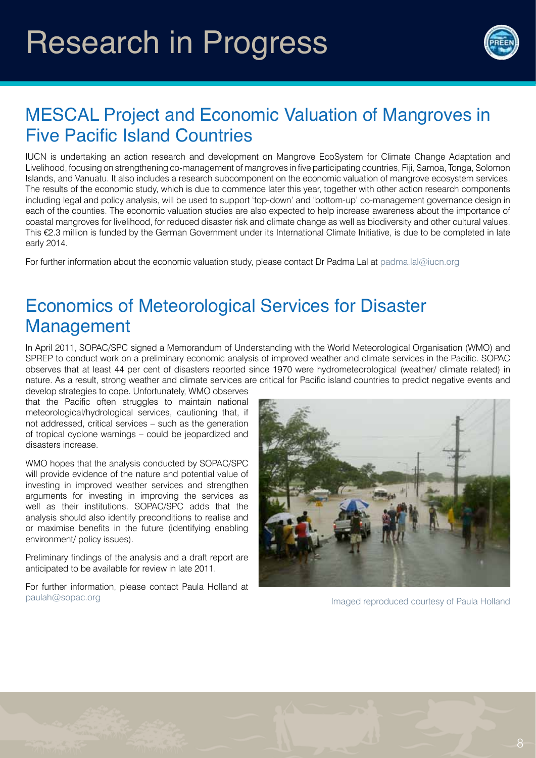## Research in Progress



## MESCAL Project and Economic Valuation of Mangroves in Five Pacific Island Countries

IUCN is undertaking an action research and development on Mangrove EcoSystem for Climate Change Adaptation and Livelihood, focusing on strengthening co-management of mangroves in five participating countries, Fiji, Samoa, Tonga, Solomon Islands, and Vanuatu. It also includes a research subcomponent on the economic valuation of mangrove ecosystem services. The results of the economic study, which is due to commence later this year, together with other action research components including legal and policy analysis, will be used to support 'top-down' and 'bottom-up' co-management governance design in each of the counties. The economic valuation studies are also expected to help increase awareness about the importance of coastal mangroves for livelihood, for reduced disaster risk and climate change as well as biodiversity and other cultural values. This €2.3 million is funded by the German Government under its International Climate Initiative, is due to be completed in late early 2014.

For further information about the economic valuation study, please contact Dr Padma Lal at padma.lal@iucn.org

#### Economics of Meteorological Services for Disaster Management

In April 2011, SOPAC/SPC signed a Memorandum of Understanding with the World Meteorological Organisation (WMO) and SPREP to conduct work on a preliminary economic analysis of improved weather and climate services in the Pacific. SOPAC observes that at least 44 per cent of disasters reported since 1970 were hydrometeorological (weather/ climate related) in nature. As a result, strong weather and climate services are critical for Pacific island countries to predict negative events and

develop strategies to cope. Unfortunately, WMO observes that the Pacific often struggles to maintain national meteorological/hydrological services, cautioning that, if not addressed, critical services – such as the generation of tropical cyclone warnings – could be jeopardized and disasters increase.

WMO hopes that the analysis conducted by SOPAC/SPC will provide evidence of the nature and potential value of investing in improved weather services and strengthen arguments for investing in improving the services as well as their institutions. SOPAC/SPC adds that the analysis should also identify preconditions to realise and or maximise benefits in the future (identifying enabling environment/ policy issues).

Preliminary findings of the analysis and a draft report are anticipated to be available for review in late 2011.

For further information, please contact Paula Holland at paulah@sopac.org imaged reproduced courtesy of Paula Holland

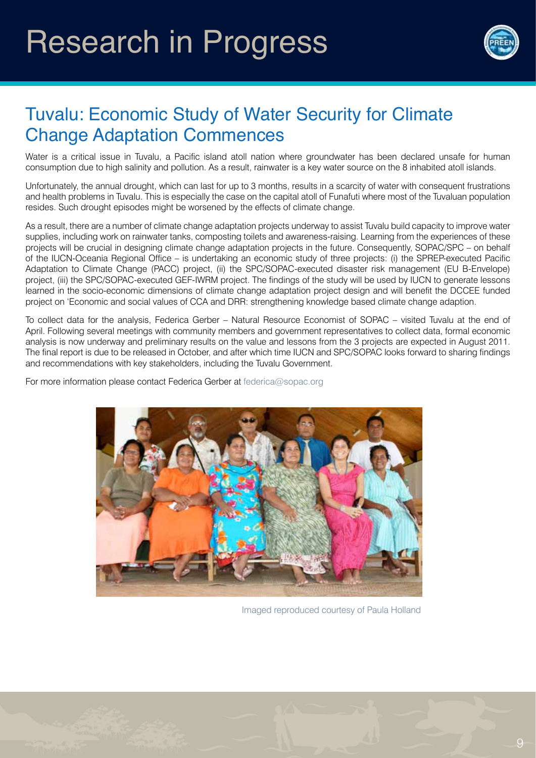

#### Tuvalu: Economic Study of Water Security for Climate Change Adaptation Commences

Water is a critical issue in Tuvalu, a Pacific island atoll nation where groundwater has been declared unsafe for human consumption due to high salinity and pollution. As a result, rainwater is a key water source on the 8 inhabited atoll islands.

Unfortunately, the annual drought, which can last for up to 3 months, results in a scarcity of water with consequent frustrations and health problems in Tuvalu. This is especially the case on the capital atoll of Funafuti where most of the Tuvaluan population resides. Such drought episodes might be worsened by the effects of climate change.

As a result, there are a number of climate change adaptation projects underway to assist Tuvalu build capacity to improve water supplies, including work on rainwater tanks, composting toilets and awareness-raising. Learning from the experiences of these projects will be crucial in designing climate change adaptation projects in the future. Consequently, SOPAC/SPC – on behalf of the IUCN-Oceania Regional Office – is undertaking an economic study of three projects: (i) the SPREP-executed Pacific Adaptation to Climate Change (PACC) project, (ii) the SPC/SOPAC-executed disaster risk management (EU B-Envelope) project, (iii) the SPC/SOPAC-executed GEF-IWRM project. The findings of the study will be used by IUCN to generate lessons learned in the socio-economic dimensions of climate change adaptation project design and will benefit the DCCEE funded project on 'Economic and social values of CCA and DRR: strengthening knowledge based climate change adaption.

To collect data for the analysis, Federica Gerber – Natural Resource Economist of SOPAC – visited Tuvalu at the end of April. Following several meetings with community members and government representatives to collect data, formal economic analysis is now underway and preliminary results on the value and lessons from the 3 projects are expected in August 2011. The final report is due to be released in October, and after which time IUCN and SPC/SOPAC looks forward to sharing findings and recommendations with key stakeholders, including the Tuvalu Government.

For more information please contact Federica Gerber at federica@sopac.org



Imaged reproduced courtesy of Paula Holland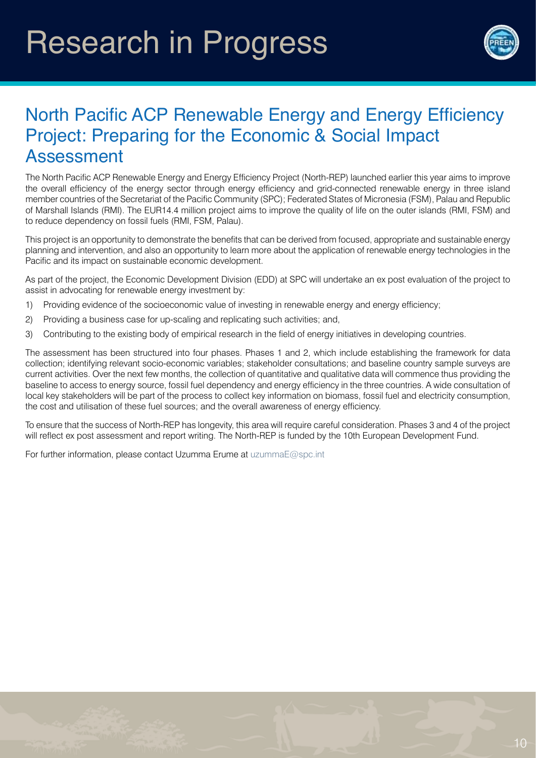## Research in Progress



#### North Pacific ACP Renewable Energy and Energy Efficiency Project: Preparing for the Economic & Social Impact Assessment

The North Pacific ACP Renewable Energy and Energy Efficiency Project (North-REP) launched earlier this year aims to improve the overall efficiency of the energy sector through energy efficiency and grid-connected renewable energy in three island member countries of the Secretariat of the Pacific Community (SPC); Federated States of Micronesia (FSM), Palau and Republic of Marshall Islands (RMI). The EUR14.4 million project aims to improve the quality of life on the outer islands (RMI, FSM) and to reduce dependency on fossil fuels (RMI, FSM, Palau).

This project is an opportunity to demonstrate the benefits that can be derived from focused, appropriate and sustainable energy planning and intervention, and also an opportunity to learn more about the application of renewable energy technologies in the Pacific and its impact on sustainable economic development.

As part of the project, the Economic Development Division (EDD) at SPC will undertake an ex post evaluation of the project to assist in advocating for renewable energy investment by:

- 1) Providing evidence of the socioeconomic value of investing in renewable energy and energy efficiency;
- 2) Providing a business case for up-scaling and replicating such activities; and,
- 3) Contributing to the existing body of empirical research in the field of energy initiatives in developing countries.

The assessment has been structured into four phases. Phases 1 and 2, which include establishing the framework for data collection; identifying relevant socio-economic variables; stakeholder consultations; and baseline country sample surveys are current activities. Over the next few months, the collection of quantitative and qualitative data will commence thus providing the baseline to access to energy source, fossil fuel dependency and energy efficiency in the three countries. A wide consultation of local key stakeholders will be part of the process to collect key information on biomass, fossil fuel and electricity consumption, the cost and utilisation of these fuel sources; and the overall awareness of energy efficiency.

To ensure that the success of North-REP has longevity, this area will require careful consideration. Phases 3 and 4 of the project will reflect ex post assessment and report writing. The North-REP is funded by the 10th European Development Fund.

For further information, please contact Uzumma Erume at uzummaE@spc.int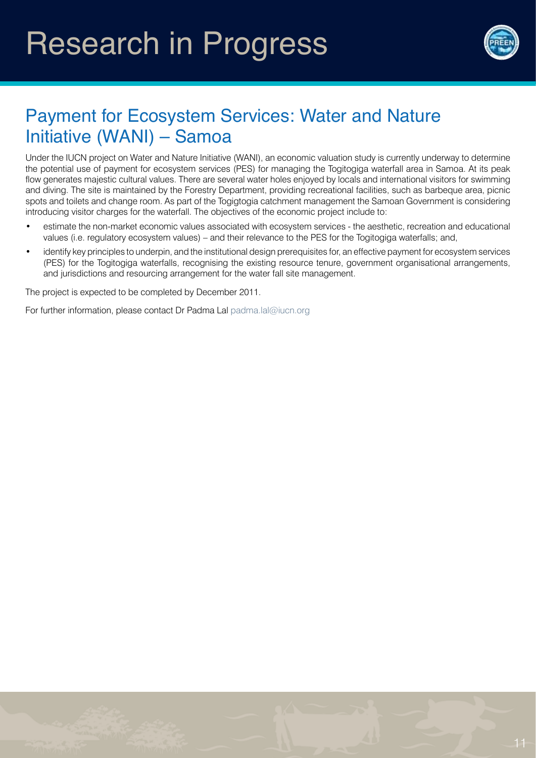

## Payment for Ecosystem Services: Water and Nature Initiative (WANI) – Samoa

Under the IUCN project on Water and Nature Initiative (WANI), an economic valuation study is currently underway to determine the potential use of payment for ecosystem services (PES) for managing the Togitogiga waterfall area in Samoa. At its peak flow generates majestic cultural values. There are several water holes enjoyed by locals and international visitors for swimming and diving. The site is maintained by the Forestry Department, providing recreational facilities, such as barbeque area, picnic spots and toilets and change room. As part of the Togigtogia catchment management the Samoan Government is considering introducing visitor charges for the waterfall. The objectives of the economic project include to:

- estimate the non-market economic values associated with ecosystem services the aesthetic, recreation and educational values (i.e. regulatory ecosystem values) – and their relevance to the PES for the Togitogiga waterfalls; and,
- identify key principles to underpin, and the institutional design prerequisites for, an effective payment for ecosystem services (PES) for the Togitogiga waterfalls, recognising the existing resource tenure, government organisational arrangements, and jurisdictions and resourcing arrangement for the water fall site management.

The project is expected to be completed by December 2011.

For further information, please contact Dr Padma Lal padma.lal@iucn.org